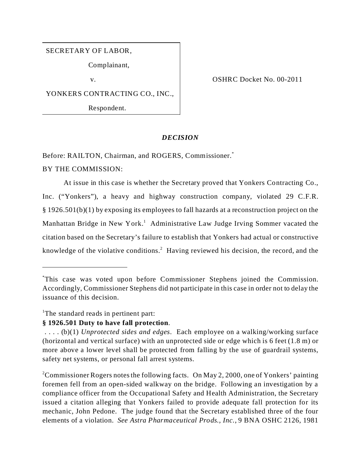SECRETARY OF LABOR,

Complainant,

YONKERS CONTRACTING CO., INC.,

Respondent.

v. COSHRC Docket No. 00-2011

# *DECISION*

Before: RAILTON, Chairman, and ROGERS, Commissioner.<sup>\*</sup>

## BY THE COMMISSION:

At issue in this case is whether the Secretary proved that Yonkers Contracting Co., Inc. ("Yonkers"), a heavy and highway construction company, violated 29 C.F.R. § 1926.501(b)(1) by exposing its employees to fall hazards at a reconstruction project on the Manhattan Bridge in New York.<sup>1</sup> Administrative Law Judge Irving Sommer vacated the citation based on the Secretary's failure to establish that Yonkers had actual or constructive knowledge of the violative conditions.<sup>2</sup> Having reviewed his decision, the record, and the

<sup>1</sup>The standard reads in pertinent part:

# **§ 1926.501 Duty to have fall protection**.

<sup>2</sup>Commissioner Rogers notes the following facts. On May 2, 2000, one of Yonkers' painting foremen fell from an open-sided walkway on the bridge. Following an investigation by a compliance officer from the Occupational Safety and Health Administration, the Secretary issued a citation alleging that Yonkers failed to provide adequate fall protection for its mechanic, John Pedone. The judge found that the Secretary established three of the four elements of a violation. *See Astra Pharmaceutical Prods., Inc*., 9 BNA OSHC 2126, 1981

<sup>\*</sup>This case was voted upon before Commissioner Stephens joined the Commission. Accordingly, Commissioner Stephens did not participate in this case in order not to delay the issuance of this decision.

 <sup>. . . . (</sup>b)(1) *Unprotected sides and edges*. Each employee on a walking/working surface (horizontal and vertical surface) with an unprotected side or edge which is 6 feet (1.8 m) or more above a lower level shall be protected from falling by the use of guardrail systems, safety net systems, or personal fall arrest systems.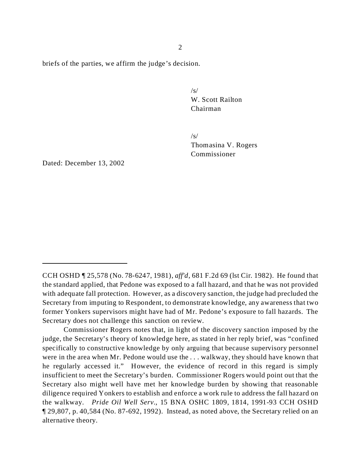briefs of the parties, we affirm the judge's decision.

 $\sqrt{s}$ W. Scott Railton Chairman

 $\sqrt{s}$ Thomasina V. Rogers Commissioner

Dated: December 13, 2002

CCH OSHD ¶ 25,578 (No. 78-6247, 1981), *aff'd*, 681 F.2d 69 (lst Cir. 1982). He found that the standard applied, that Pedone was exposed to a fall hazard, and that he was not provided with adequate fall protection. However, as a discovery sanction, the judge had precluded the Secretary from imputing to Respondent, to demonstrate knowledge, any awareness that two former Yonkers supervisors might have had of Mr. Pedone's exposure to fall hazards. The Secretary does not challenge this sanction on review.

Commissioner Rogers notes that, in light of the discovery sanction imposed by the judge, the Secretary's theory of knowledge here, as stated in her reply brief, was "confined specifically to constructive knowledge by only arguing that because supervisory personnel were in the area when Mr. Pedone would use the . . . walkway, they should have known that he regularly accessed it." However, the evidence of record in this regard is simply insufficient to meet the Secretary's burden. Commissioner Rogers would point out that the Secretary also might well have met her knowledge burden by showing that reasonable diligence required Yonkers to establish and enforce a work rule to address the fall hazard on the walkway. *Pride Oil Well Serv.*, 15 BNA OSHC 1809, 1814, 1991-93 CCH OSHD ¶ 29,807, p. 40,584 (No. 87-692, 1992). Instead, as noted above, the Secretary relied on an alternative theory.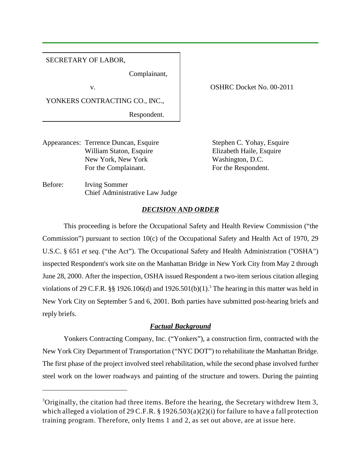## SECRETARY OF LABOR,

Complainant,

v. Samuel COSHRC Docket No. 00-2011

YONKERS CONTRACTING CO., INC.,

Respondent.

Chief Administrative Law Judge

Appearances: Terrence Duncan, Esquire Stephen C. Yohay, Esquire William Staton, Esquire Elizabeth Haile, Esquire New York, New York Washington, D.C. For the Complainant. For the Respondent.

Before: Irving Sommer

### *DECISION AND ORDER*

This proceeding is before the Occupational Safety and Health Review Commission ("the Commission") pursuant to section 10(c) of the Occupational Safety and Health Act of 1970, 29 U.S.C. § 651 *et seq.* ("the Act"). The Occupational Safety and Health Administration ("OSHA") inspected Respondent's work site on the Manhattan Bridge in New York City from May 2 through June 28, 2000. After the inspection, OSHA issued Respondent a two-item serious citation alleging violations of 29 C.F.R.  $\S$ § 1926.106(d) and 1926.501(b)(1).<sup>3</sup> The hearing in this matter was held in New York City on September 5 and 6, 2001. Both parties have submitted post-hearing briefs and reply briefs.

## *Factual Background*

Yonkers Contracting Company, Inc. ("Yonkers"), a construction firm, contracted with the New York City Department of Transportation ("NYC DOT") to rehabilitate the Manhattan Bridge. The first phase of the project involved steel rehabilitation, while the second phase involved further steel work on the lower roadways and painting of the structure and towers. During the painting

 $3$ Originally, the citation had three items. Before the hearing, the Secretary withdrew Item 3, which alleged a violation of 29 C.F.R. § 1926.503(a)(2)(i) for failure to have a fall protection training program. Therefore, only Items 1 and 2, as set out above, are at issue here.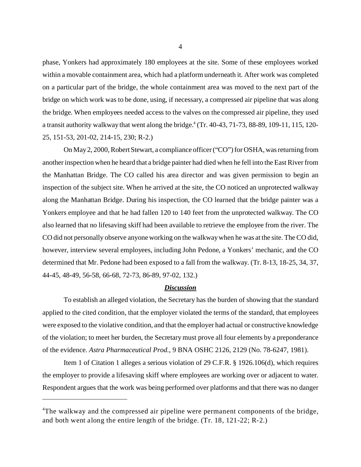phase, Yonkers had approximately 180 employees at the site. Some of these employees worked within a movable containment area, which had a platform underneath it. After work was completed on a particular part of the bridge, the whole containment area was moved to the next part of the bridge on which work was to be done, using, if necessary, a compressed air pipeline that was along the bridge. When employees needed access to the valves on the compressed air pipeline, they used a transit authority walkway that went along the bridge.<sup>4</sup> (Tr. 40-43, 71-73, 88-89, 109-11, 115, 120-25, 151-53, 201-02, 214-15, 230; R-2.)

On May 2, 2000, Robert Stewart, a compliance officer ("CO") for OSHA, was returning from another inspection when he heard that a bridge painter had died when he fell into the East River from the Manhattan Bridge. The CO called his area director and was given permission to begin an inspection of the subject site. When he arrived at the site, the CO noticed an unprotected walkway along the Manhattan Bridge. During his inspection, the CO learned that the bridge painter was a Yonkers employee and that he had fallen 120 to 140 feet from the unprotected walkway. The CO also learned that no lifesaving skiff had been available to retrieve the employee from the river. The CO did not personally observe anyone working on the walkway when he was at the site. The CO did, however, interview several employees, including John Pedone, a Yonkers' mechanic, and the CO determined that Mr. Pedone had been exposed to a fall from the walkway. (Tr. 8-13, 18-25, 34, 37, 44-45, 48-49, 56-58, 66-68, 72-73, 86-89, 97-02, 132.)

#### *Discussion*

To establish an alleged violation, the Secretary has the burden of showing that the standard applied to the cited condition, that the employer violated the terms of the standard, that employees were exposed to the violative condition, and that the employer had actual or constructive knowledge of the violation; to meet her burden, the Secretary must prove all four elements by a preponderance of the evidence. *Astra Pharmaceutical Prod.*, 9 BNA OSHC 2126, 2129 (No. 78-6247, 1981).

Item 1 of Citation 1 alleges a serious violation of 29 C.F.R. § 1926.106(d), which requires the employer to provide a lifesaving skiff where employees are working over or adjacent to water. Respondent argues that the work was being performed over platforms and that there was no danger

<sup>&</sup>lt;sup>4</sup>The walkway and the compressed air pipeline were permanent components of the bridge, and both went along the entire length of the bridge. (Tr. 18, 121-22; R-2.)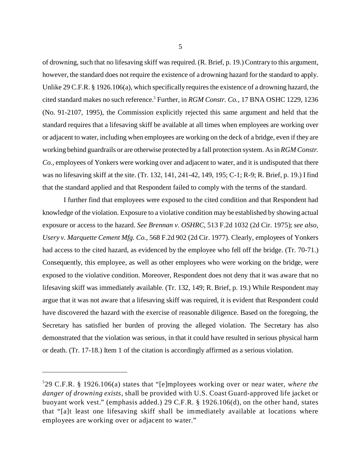of drowning, such that no lifesaving skiff was required. (R. Brief, p. 19.) Contrary to this argument, however, the standard does not require the existence of a drowning hazard for the standard to apply. Unlike 29 C.F.R. § 1926.106(a), which specifically requires the existence of a drowning hazard, the cited standard makes no such reference.<sup>5</sup> Further, in *RGM Constr. Co.*, 17 BNA OSHC 1229, 1236 (No. 91-2107, 1995), the Commission explicitly rejected this same argument and held that the standard requires that a lifesaving skiff be available at all times when employees are working over or adjacent to water, including when employees are working on the deck of a bridge, even if they are working behind guardrails or are otherwise protected by a fall protection system. As in *RGM Constr. Co.*, employees of Yonkers were working over and adjacent to water, and it is undisputed that there was no lifesaving skiff at the site. (Tr. 132, 141, 241-42, 149, 195; C-1; R-9; R. Brief, p. 19.) I find that the standard applied and that Respondent failed to comply with the terms of the standard.

I further find that employees were exposed to the cited condition and that Respondent had knowledge of the violation. Exposure to a violative condition may be established by showing actual exposure or access to the hazard. *See Brennan v. OSHRC*, 513 F.2d 1032 (2d Cir. 1975); *see also, Usery v. Marquette Cement Mfg. Co.*, 568 F.2d 902 (2d Cir. 1977). Clearly, employees of Yonkers had access to the cited hazard, as evidenced by the employee who fell off the bridge. (Tr. 70-71.) Consequently, this employee, as well as other employees who were working on the bridge, were exposed to the violative condition. Moreover, Respondent does not deny that it was aware that no lifesaving skiff was immediately available. (Tr. 132, 149; R. Brief, p. 19.) While Respondent may argue that it was not aware that a lifesaving skiff was required, it is evident that Respondent could have discovered the hazard with the exercise of reasonable diligence. Based on the foregoing, the Secretary has satisfied her burden of proving the alleged violation. The Secretary has also demonstrated that the violation was serious, in that it could have resulted in serious physical harm or death. (Tr. 17-18.) Item 1 of the citation is accordingly affirmed as a serious violation.

<sup>5</sup> 29 C.F.R. § 1926.106(a) states that "[e]mployees working over or near water, *where the danger of drowning exists*, shall be provided with U.S. Coast Guard-approved life jacket or buoyant work vest." (emphasis added.) 29 C.F.R. § 1926.106(d), on the other hand, states that "[a]t least one lifesaving skiff shall be immediately available at locations where employees are working over or adjacent to water."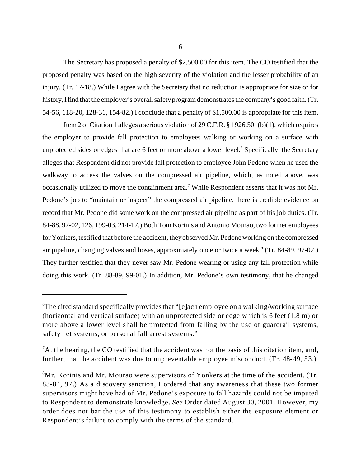The Secretary has proposed a penalty of \$2,500.00 for this item. The CO testified that the proposed penalty was based on the high severity of the violation and the lesser probability of an injury. (Tr. 17-18.) While I agree with the Secretary that no reduction is appropriate for size or for history, Ifind that the employer's overall safety program demonstrates the company's good faith. (Tr. 54-56, 118-20, 128-31, 154-82.) I conclude that a penalty of \$1,500.00 is appropriate for this item.

Item 2 of Citation 1 alleges a serious violation of 29 C.F.R. § 1926.501(b)(1), which requires the employer to provide fall protection to employees walking or working on a surface with unprotected sides or edges that are 6 feet or more above a lower level.<sup>6</sup> Specifically, the Secretary alleges that Respondent did not provide fall protection to employee John Pedone when he used the walkway to access the valves on the compressed air pipeline, which, as noted above, was occasionally utilized to move the containment area.<sup>7</sup> While Respondent asserts that it was not Mr. Pedone's job to "maintain or inspect" the compressed air pipeline, there is credible evidence on record that Mr. Pedone did some work on the compressed air pipeline as part of his job duties. (Tr. 84-88, 97-02, 126, 199-03, 214-17.) Both Tom Korinis and Antonio Mourao, two former employees for Yonkers, testified that before the accident, they observed Mr. Pedone working on the compressed air pipeline, changing valves and hoses, approximately once or twice a week.<sup>8</sup> (Tr. 84-89, 97-02.) They further testified that they never saw Mr. Pedone wearing or using any fall protection while doing this work. (Tr. 88-89, 99-01.) In addition, Mr. Pedone's own testimony, that he changed

<sup>&</sup>lt;sup>6</sup>The cited standard specifically provides that "[e]ach employee on a walking/working surface (horizontal and vertical surface) with an unprotected side or edge which is 6 feet (1.8 m) or more above a lower level shall be protected from falling by the use of guardrail systems, safety net systems, or personal fall arrest systems."

 ${}^{7}$ At the hearing, the CO testified that the accident was not the basis of this citation item, and, further, that the accident was due to unpreventable employee misconduct. (Tr. 48-49, 53.)

<sup>8</sup>Mr. Korinis and Mr. Mourao were supervisors of Yonkers at the time of the accident. (Tr. 83-84, 97.) As a discovery sanction, I ordered that any awareness that these two former supervisors might have had of Mr. Pedone's exposure to fall hazards could not be imputed to Respondent to demonstrate knowledge. *See* Order dated August 30, 2001. However, my order does not bar the use of this testimony to establish either the exposure element or Respondent's failure to comply with the terms of the standard.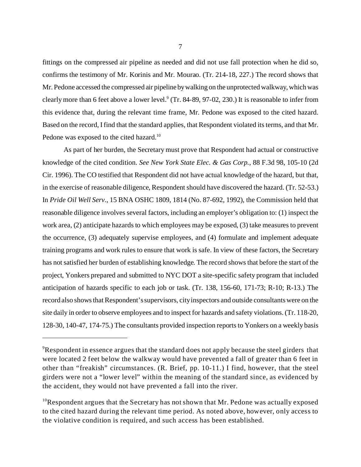fittings on the compressed air pipeline as needed and did not use fall protection when he did so, confirms the testimony of Mr. Korinis and Mr. Mourao. (Tr. 214-18, 227.) The record shows that Mr. Pedone accessed the compressed air pipeline bywalking on the unprotected walkway, which was clearly more than 6 feet above a lower level.<sup>9</sup> (Tr. 84-89, 97-02, 230.) It is reasonable to infer from this evidence that, during the relevant time frame, Mr. Pedone was exposed to the cited hazard. Based on the record, I find that the standard applies, that Respondent violated its terms, and that Mr. Pedone was exposed to the cited hazard.<sup>10</sup>

As part of her burden, the Secretary must prove that Respondent had actual or constructive knowledge of the cited condition. *See New York State Elec. & Gas Corp.*, 88 F.3d 98, 105-10 (2d Cir. 1996). The CO testified that Respondent did not have actual knowledge of the hazard, but that, in the exercise of reasonable diligence, Respondent should have discovered the hazard. (Tr. 52-53.) In *Pride Oil Well Serv.*, 15 BNA OSHC 1809, 1814 (No. 87-692, 1992), the Commission held that reasonable diligence involves several factors, including an employer's obligation to: (1) inspect the work area, (2) anticipate hazards to which employees may be exposed, (3) take measures to prevent the occurrence, (3) adequately supervise employees, and (4) formulate and implement adequate training programs and work rules to ensure that work is safe. In view of these factors, the Secretary has not satisfied her burden of establishing knowledge. The record shows that before the start of the project, Yonkers prepared and submitted to NYC DOT a site-specific safety program that included anticipation of hazards specific to each job or task. (Tr. 138, 156-60, 171-73; R-10; R-13.) The record also shows that Respondent's supervisors, city inspectors and outside consultants were on the site daily in order to observe employees and to inspect for hazards and safety violations. (Tr. 118-20, 128-30, 140-47, 174-75.) The consultants provided inspection reports to Yonkers on a weekly basis

<sup>&</sup>lt;sup>9</sup>Respondent in essence argues that the standard does not apply because the steel girders that were located 2 feet below the walkway would have prevented a fall of greater than 6 feet in other than "freakish" circumstances. (R. Brief, pp. 10-11.) I find, however, that the steel girders were not a "lower level" within the meaning of the standard since, as evidenced by the accident, they would not have prevented a fall into the river.

 $10$ Respondent argues that the Secretary has not shown that Mr. Pedone was actually exposed to the cited hazard during the relevant time period. As noted above, however, only access to the violative condition is required, and such access has been established.